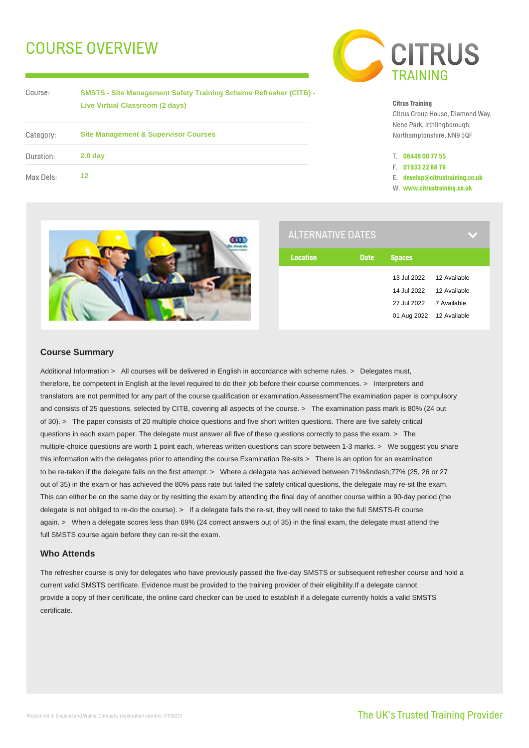# COURSE OVERVIEW



Course:

**SMSTS - Site Management Safety Training Scheme Refresher (CITB) - Live Virtual Classroom (2 days)**

| Category: | <b>Site Management &amp; Supervisor Courses</b> |  |  |
|-----------|-------------------------------------------------|--|--|
| Duration: | 2.0 <sub>day</sub>                              |  |  |
| Max Dels: | 12                                              |  |  |

#### **Citrus Training**

Citrus Group House, Diamond Way, Nene Park, Irthlingborough, Northamptonshire, NN9 5QF

- T. **08448 00 77 55**
- F. **01933 22 88 76**
- E. **develop@citrustraining.co.uk**
- W. **www.citrustraining.co.uk**



| <b>ALTERNATIVE DATES</b> |             |                          |              |  |
|--------------------------|-------------|--------------------------|--------------|--|
| <b>Location</b>          | <b>Date</b> | <b>Spaces</b>            |              |  |
|                          |             | 13 Jul 2022              | 12 Available |  |
|                          |             | 14 Jul 2022              | 12 Available |  |
|                          |             | 27 Jul 2022              | 7 Available  |  |
|                          |             | 01 Aug 2022 12 Available |              |  |
|                          |             |                          |              |  |

### **Course Summary**

Additional Information > All courses will be delivered in English in accordance with scheme rules. > Delegates must, therefore, be competent in English at the level required to do their job before their course commences. > Interpreters and translators are not permitted for any part of the course qualification or examination.AssessmentThe examination paper is compulsory and consists of 25 questions, selected by CITB, covering all aspects of the course. > The examination pass mark is 80% (24 out of 30). > The paper consists of 20 multiple choice questions and five short written questions. There are five safety critical questions in each exam paper. The delegate must answer all five of these questions correctly to pass the exam. > The multiple-choice questions are worth 1 point each, whereas written questions can score between 1-3 marks. > We suggest you share this information with the delegates prior to attending the course.Examination Re-sits > There is an option for an examination to be re-taken if the delegate fails on the first attempt. > Where a delegate has achieved between 71%–77% (25, 26 or 27 out of 35) in the exam or has achieved the 80% pass rate but failed the safety critical questions, the delegate may re-sit the exam. This can either be on the same day or by resitting the exam by attending the final day of another course within a 90-day period (the delegate is not obliged to re-do the course). > If a delegate fails the re-sit, they will need to take the full SMSTS-R course again. > When a delegate scores less than 69% (24 correct answers out of 35) in the final exam, the delegate must attend the full SMSTS course again before they can re-sit the exam.

## **Who Attends**

The refresher course is only for delegates who have previously passed the five-day SMSTS or subsequent refresher course and hold a current valid SMSTS certificate. Evidence must be provided to the training provider of their eligibility.If a delegate cannot provide a copy of their certificate, the online card checker can be used to establish if a delegate currently holds a valid SMSTS certificate.